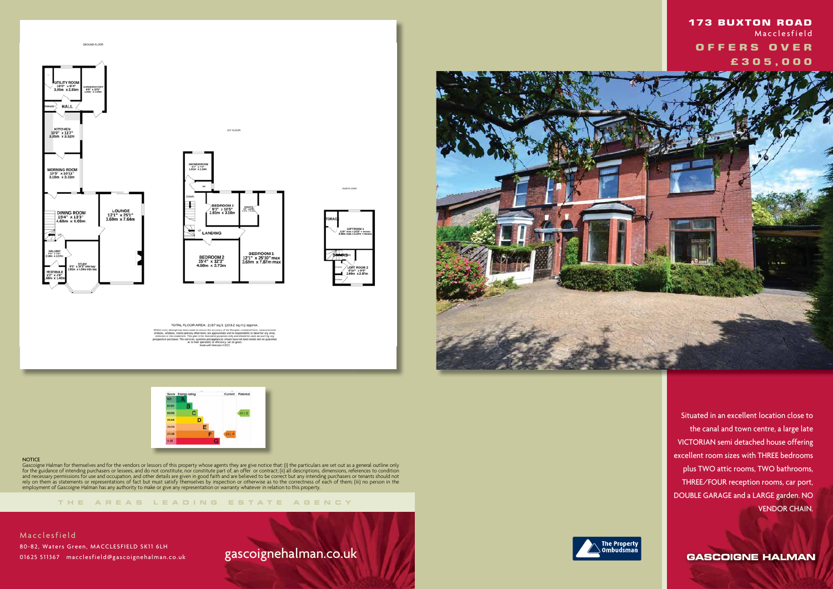

LOFT ROOM 1<br>max x 10'9" + n

TOTAL FLOOR AREA: 2187 sq.ft. (203.2 sq.m.) approx ure the accuracy of the floorplan co



#### **NOTICE**

**THE AREA S LEADING ES T A TE A G E N C Y**



Gascoigne Halman for themselves and for the vendors or lessors of this property whose agents they are give notice that: (i) the particulars are set out as a general outline only for the guidance of intending purchasers or lessees, and do not constitute, nor constitute part of, an offer or contract; (ii) all descriptions, dimensions, references to condition and necessary permissions for use and occupation, and other details are given in good faith and are believed to be correct but any intending purchasers or tenants should not rely on them as statements or representations of fact but must satisfy themselves by inspection or otherwise as to the correctness of each of them; (iii) no person in the employment of Gascoigne Halman has any authority to make or give any representation or warranty whatever in relation to this property.

**Macclesfield**  80-82, Waters Green, MACCLESFIELD SK11 6LH 01625 511367 macclesfield@gascoignehalman.co.uk

# gascoignehalman.co.uk



 Situated in an excellent location close to the canal and town centre, a large late VICTORIAN semi detached house offering excellent room sizes with THREE bedrooms plus TWO attic rooms, TWO bathrooms, THREE/FOUR reception rooms, car port, DOUBLE GARAGE and a LARGE garden. NO VENDOR CHAIN.

**GASCOIGNE HALMAN** 



## **173 BUXTON ROAD Macclesfield OFFERS OVER £ 3 0 5 , 0 0 0**